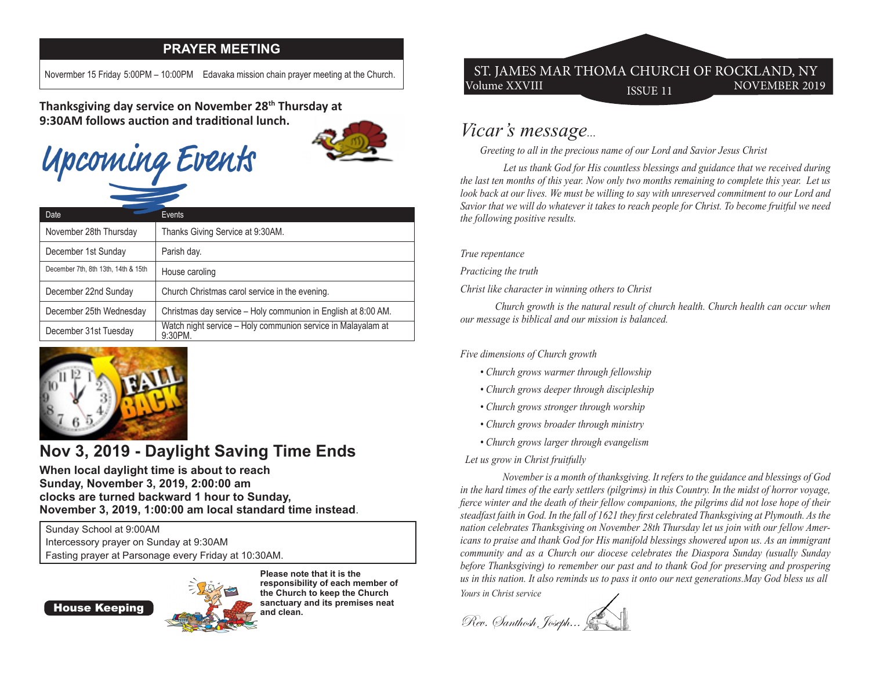#### **PRAYER MEETING**

Novermber 15 Friday 5:00PM – 10:00PM Edavaka mission chain prayer meeting at the Church.

**Thanksgiving day service on November 28th Thursday at 9:30AM follows auction and traditional lunch.** 

# Upcoming Events



| Date                                | Events                                                                     |
|-------------------------------------|----------------------------------------------------------------------------|
| November 28th Thursday              | Thanks Giving Service at 9:30AM.                                           |
| December 1st Sunday                 | Parish day.                                                                |
| December 7th, 8th 13th, 14th & 15th | House caroling                                                             |
| December 22nd Sunday                | Church Christmas carol service in the evening.                             |
| December 25th Wednesday             | Christmas day service - Holy communion in English at 8:00 AM.              |
| December 31st Tuesday               | Watch night service - Holy communion service in Malayalam at<br>$9:30PM$ . |



## **Nov 3, 2019 - Daylight Saving Time Ends**

**When local daylight time is about to reach Sunday, November 3, 2019, 2:00:00 am clocks are turned backward 1 hour to Sunday, November 3, 2019, 1:00:00 am local standard time instead**.

Sunday School at 9:00AM Intercessory prayer on Sunday at 9:30AM Fasting prayer at Parsonage every Friday at 10:30AM.

House Keeping



**Please note that it is the responsibility of each member of the Church to keep the Church sanctuary and its premises neat and clean.** 

#### Volume XXVIII ISSUE 11 NOVEMBER 2019 ST. JAMES MAR THOMA CHURCH OF ROCKLAND, NY

### *Vicar's message...*

 *Greeting to all in the precious name of our Lord and Savior Jesus Christ*

 *Let us thank God for His countless blessings and guidance that we received during the last ten months of this year. Now only two months remaining to complete this year. Let us look back at our lives. We must be willing to say with unreserved commitment to our Lord and Savior that we will do whatever it takes to reach people for Christ. To become fruitful we need the following positive results.*

*True repentance*

*Practicing the truth*

*Christ like character in winning others to Christ*

 *Church growth is the natural result of church health. Church health can occur when our message is biblical and our mission is balanced.*

*Five dimensions of Church growth*

- *Church grows warmer through fellowship*
- *Church grows deeper through discipleship*
- *Church grows stronger through worship*
- *Church grows broader through ministry*
- *Church grows larger through evangelism*

#### *Let us grow in Christ fruitfully*

 *November is a month of thanksgiving. It refers to the guidance and blessings of God in the hard times of the early settlers (pilgrims) in this Country. In the midst of horror voyage, fierce winter and the death of their fellow companions, the pilgrims did not lose hope of their steadfast faith in God. In the fall of 1621 they first celebrated Thanksgiving at Plymouth. As the nation celebrates Thanksgiving on November 28th Thursday let us join with our fellow Americans to praise and thank God for His manifold blessings showered upon us. As an immigrant community and as a Church our diocese celebrates the Diaspora Sunday (usually Sunday before Thanksgiving) to remember our past and to thank God for preserving and prospering us in this nation. It also reminds us to pass it onto our next generations.May God bless us all Yours in Christ service*

Rev. Santhosh, Joseph...